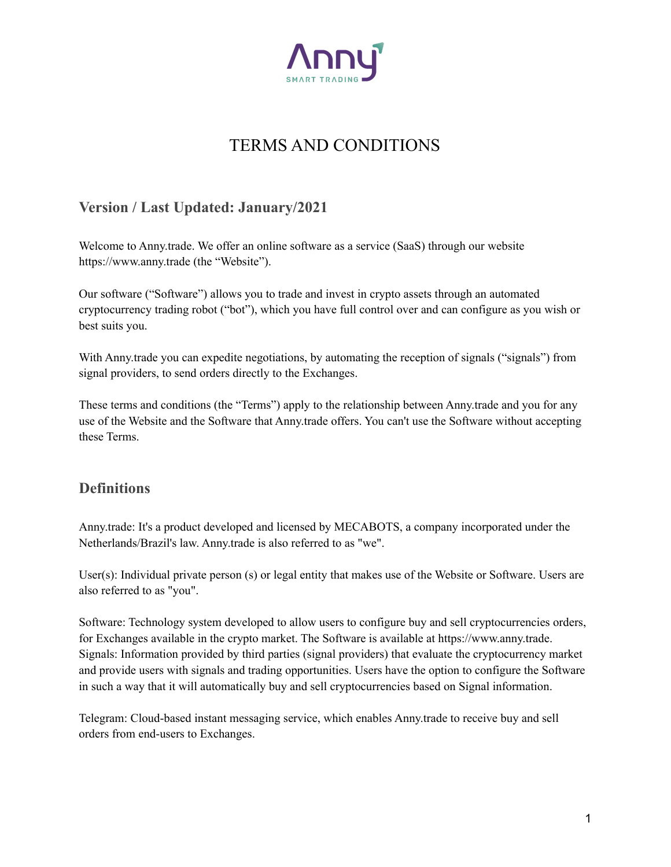

# TERMS AND CONDITIONS

## **Version / Last Updated: January/2021**

Welcome to Anny.trade. We offer an online software as a service (SaaS) through our website https://www.anny.trade (the "Website").

Our software ("Software") allows you to trade and invest in crypto assets through an automated cryptocurrency trading robot ("bot"), which you have full control over and can configure as you wish or best suits you.

With Anny trade you can expedite negotiations, by automating the reception of signals ("signals") from signal providers, to send orders directly to the Exchanges.

These terms and conditions (the "Terms") apply to the relationship between Anny.trade and you for any use of the Website and the Software that Anny.trade offers. You can't use the Software without accepting these Terms.

## **Definitions**

Anny.trade: It's a product developed and licensed by MECABOTS, a company incorporated under the Netherlands/Brazil's law. Anny.trade is also referred to as "we".

User(s): Individual private person (s) or legal entity that makes use of the Website or Software. Users are also referred to as "you".

Software: Technology system developed to allow users to configure buy and sell cryptocurrencies orders, for Exchanges available in the crypto market. The Software is available at https://www.anny.trade. Signals: Information provided by third parties (signal providers) that evaluate the cryptocurrency market and provide users with signals and trading opportunities. Users have the option to configure the Software in such a way that it will automatically buy and sell cryptocurrencies based on Signal information.

Telegram: Cloud-based instant messaging service, which enables Anny.trade to receive buy and sell orders from end-users to Exchanges.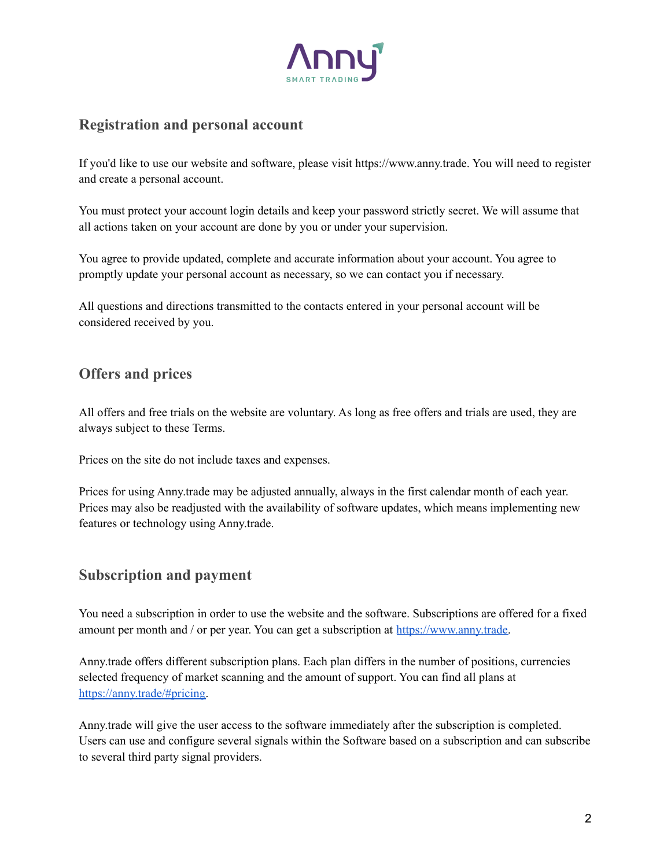

## **Registration and personal account**

If you'd like to use our website and software, please visit https://www.anny.trade. You will need to register and create a personal account.

You must protect your account login details and keep your password strictly secret. We will assume that all actions taken on your account are done by you or under your supervision.

You agree to provide updated, complete and accurate information about your account. You agree to promptly update your personal account as necessary, so we can contact you if necessary.

All questions and directions transmitted to the contacts entered in your personal account will be considered received by you.

## **Offers and prices**

All offers and free trials on the website are voluntary. As long as free offers and trials are used, they are always subject to these Terms.

Prices on the site do not include taxes and expenses.

Prices for using Anny.trade may be adjusted annually, always in the first calendar month of each year. Prices may also be readjusted with the availability of software updates, which means implementing new features or technology using Anny.trade.

#### **Subscription and payment**

You need a subscription in order to use the website and the software. Subscriptions are offered for a fixed amount per month and / or per year. You can get a subscription at [https://www.anny.trade.](https://www.anny.trade)

Anny.trade offers different subscription plans. Each plan differs in the number of positions, currencies selected frequency of market scanning and the amount of support. You can find all plans at [https://anny.trade/#pricing.](https://anny.trade/#pricing)

Anny.trade will give the user access to the software immediately after the subscription is completed. Users can use and configure several signals within the Software based on a subscription and can subscribe to several third party signal providers.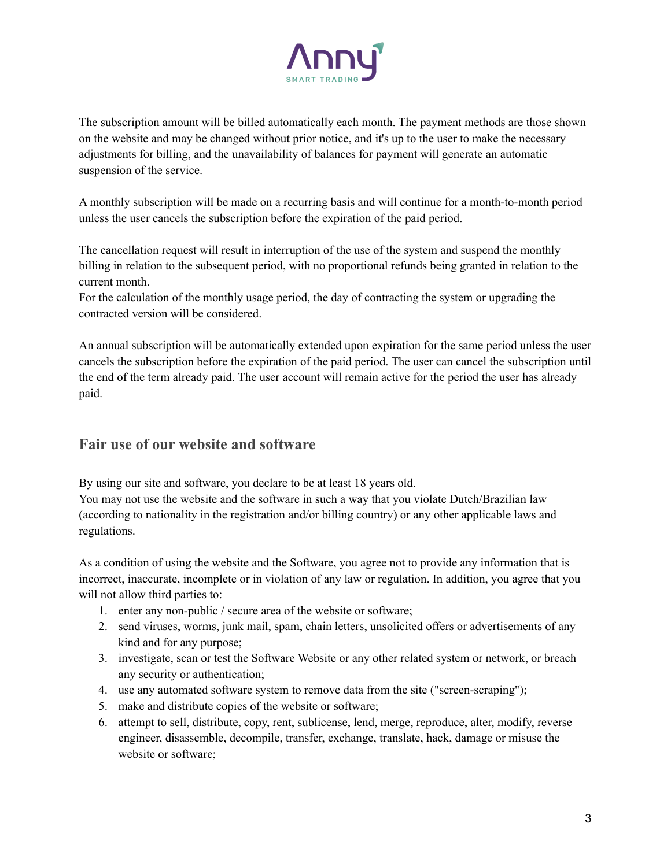

The subscription amount will be billed automatically each month. The payment methods are those shown on the website and may be changed without prior notice, and it's up to the user to make the necessary adjustments for billing, and the unavailability of balances for payment will generate an automatic suspension of the service.

A monthly subscription will be made on a recurring basis and will continue for a month-to-month period unless the user cancels the subscription before the expiration of the paid period.

The cancellation request will result in interruption of the use of the system and suspend the monthly billing in relation to the subsequent period, with no proportional refunds being granted in relation to the current month.

For the calculation of the monthly usage period, the day of contracting the system or upgrading the contracted version will be considered.

An annual subscription will be automatically extended upon expiration for the same period unless the user cancels the subscription before the expiration of the paid period. The user can cancel the subscription until the end of the term already paid. The user account will remain active for the period the user has already paid.

## **Fair use of our website and software**

By using our site and software, you declare to be at least 18 years old.

You may not use the website and the software in such a way that you violate Dutch/Brazilian law (according to nationality in the registration and/or billing country) or any other applicable laws and regulations.

As a condition of using the website and the Software, you agree not to provide any information that is incorrect, inaccurate, incomplete or in violation of any law or regulation. In addition, you agree that you will not allow third parties to:

- 1. enter any non-public / secure area of the website or software;
- 2. send viruses, worms, junk mail, spam, chain letters, unsolicited offers or advertisements of any kind and for any purpose;
- 3. investigate, scan or test the Software Website or any other related system or network, or breach any security or authentication;
- 4. use any automated software system to remove data from the site ("screen-scraping");
- 5. make and distribute copies of the website or software;
- 6. attempt to sell, distribute, copy, rent, sublicense, lend, merge, reproduce, alter, modify, reverse engineer, disassemble, decompile, transfer, exchange, translate, hack, damage or misuse the website or software;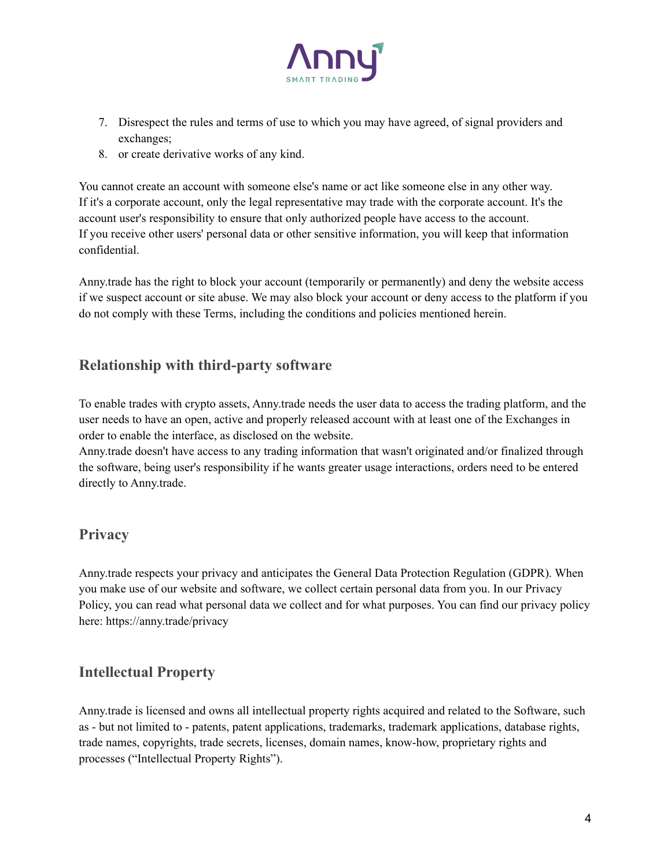

- 7. Disrespect the rules and terms of use to which you may have agreed, of signal providers and exchanges;
- 8. or create derivative works of any kind.

You cannot create an account with someone else's name or act like someone else in any other way. If it's a corporate account, only the legal representative may trade with the corporate account. It's the account user's responsibility to ensure that only authorized people have access to the account. If you receive other users' personal data or other sensitive information, you will keep that information confidential.

Anny.trade has the right to block your account (temporarily or permanently) and deny the website access if we suspect account or site abuse. We may also block your account or deny access to the platform if you do not comply with these Terms, including the conditions and policies mentioned herein.

## **Relationship with third-party software**

To enable trades with crypto assets, Anny.trade needs the user data to access the trading platform, and the user needs to have an open, active and properly released account with at least one of the Exchanges in order to enable the interface, as disclosed on the website.

Anny.trade doesn't have access to any trading information that wasn't originated and/or finalized through the software, being user's responsibility if he wants greater usage interactions, orders need to be entered directly to Anny.trade.

## **Privacy**

Anny.trade respects your privacy and anticipates the General Data Protection Regulation (GDPR). When you make use of our website and software, we collect certain personal data from you. In our Privacy Policy, you can read what personal data we collect and for what purposes. You can find our privacy policy here: https://anny.trade/privacy

## **Intellectual Property**

Anny.trade is licensed and owns all intellectual property rights acquired and related to the Software, such as - but not limited to - patents, patent applications, trademarks, trademark applications, database rights, trade names, copyrights, trade secrets, licenses, domain names, know-how, proprietary rights and processes ("Intellectual Property Rights").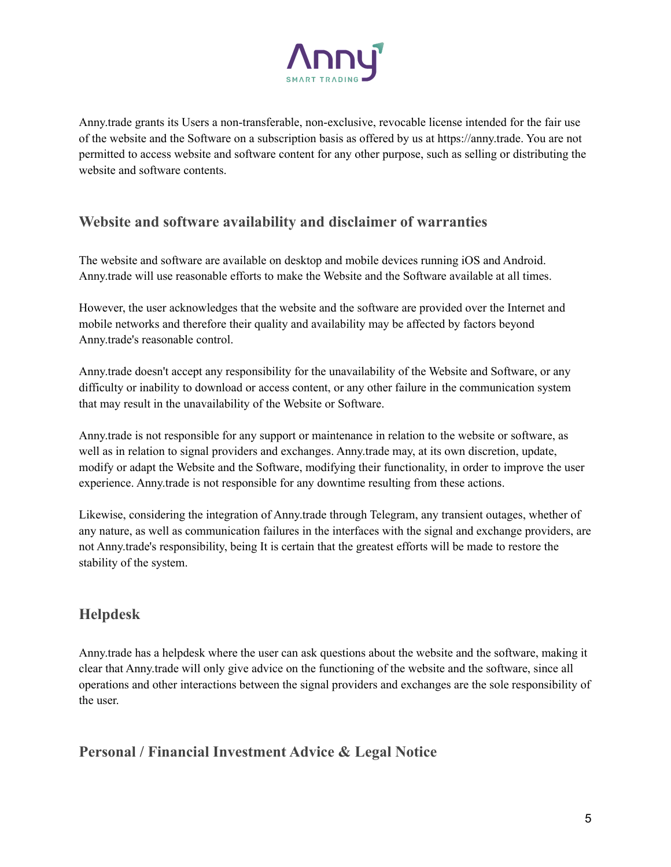

Anny.trade grants its Users a non-transferable, non-exclusive, revocable license intended for the fair use of the website and the Software on a subscription basis as offered by us at https://anny.trade. You are not permitted to access website and software content for any other purpose, such as selling or distributing the website and software contents.

## **Website and software availability and disclaimer of warranties**

The website and software are available on desktop and mobile devices running iOS and Android. Anny.trade will use reasonable efforts to make the Website and the Software available at all times.

However, the user acknowledges that the website and the software are provided over the Internet and mobile networks and therefore their quality and availability may be affected by factors beyond Anny.trade's reasonable control.

Anny.trade doesn't accept any responsibility for the unavailability of the Website and Software, or any difficulty or inability to download or access content, or any other failure in the communication system that may result in the unavailability of the Website or Software.

Anny.trade is not responsible for any support or maintenance in relation to the website or software, as well as in relation to signal providers and exchanges. Anny.trade may, at its own discretion, update, modify or adapt the Website and the Software, modifying their functionality, in order to improve the user experience. Anny.trade is not responsible for any downtime resulting from these actions.

Likewise, considering the integration of Anny.trade through Telegram, any transient outages, whether of any nature, as well as communication failures in the interfaces with the signal and exchange providers, are not Anny.trade's responsibility, being It is certain that the greatest efforts will be made to restore the stability of the system.

## **Helpdesk**

Anny.trade has a helpdesk where the user can ask questions about the website and the software, making it clear that Anny.trade will only give advice on the functioning of the website and the software, since all operations and other interactions between the signal providers and exchanges are the sole responsibility of the user.

**Personal / Financial Investment Advice & Legal Notice**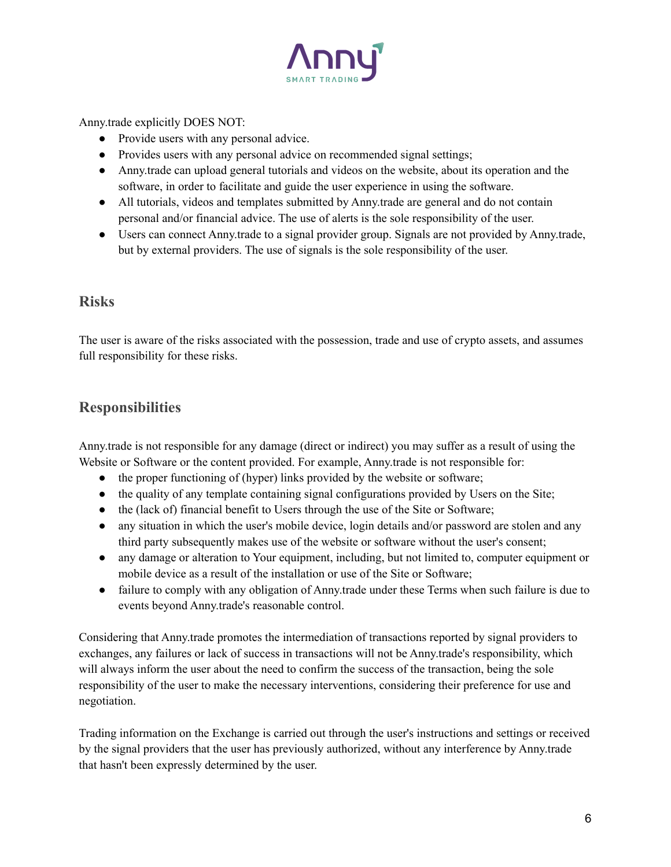

#### Anny.trade explicitly DOES NOT:

- Provide users with any personal advice.
- Provides users with any personal advice on recommended signal settings;
- Anny.trade can upload general tutorials and videos on the website, about its operation and the software, in order to facilitate and guide the user experience in using the software.
- All tutorials, videos and templates submitted by Anny, trade are general and do not contain personal and/or financial advice. The use of alerts is the sole responsibility of the user.
- Users can connect Anny.trade to a signal provider group. Signals are not provided by Anny.trade, but by external providers. The use of signals is the sole responsibility of the user.

#### **Risks**

The user is aware of the risks associated with the possession, trade and use of crypto assets, and assumes full responsibility for these risks.

#### **Responsibilities**

Anny.trade is not responsible for any damage (direct or indirect) you may suffer as a result of using the Website or Software or the content provided. For example, Anny.trade is not responsible for:

- the proper functioning of (hyper) links provided by the website or software;
- the quality of any template containing signal configurations provided by Users on the Site;
- the (lack of) financial benefit to Users through the use of the Site or Software;
- any situation in which the user's mobile device, login details and/or password are stolen and any third party subsequently makes use of the website or software without the user's consent;
- any damage or alteration to Your equipment, including, but not limited to, computer equipment or mobile device as a result of the installation or use of the Site or Software;
- failure to comply with any obligation of Anny trade under these Terms when such failure is due to events beyond Anny.trade's reasonable control.

Considering that Anny.trade promotes the intermediation of transactions reported by signal providers to exchanges, any failures or lack of success in transactions will not be Anny.trade's responsibility, which will always inform the user about the need to confirm the success of the transaction, being the sole responsibility of the user to make the necessary interventions, considering their preference for use and negotiation.

Trading information on the Exchange is carried out through the user's instructions and settings or received by the signal providers that the user has previously authorized, without any interference by Anny.trade that hasn't been expressly determined by the user.